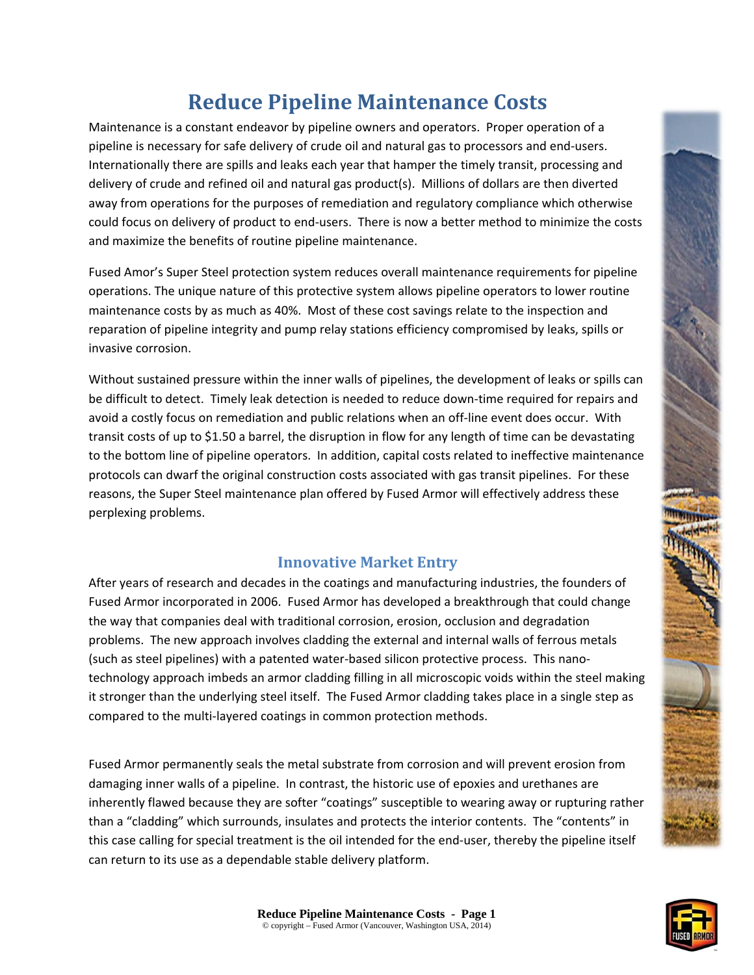# **Reduce Pipeline Maintenance Costs**

Maintenance is a constant endeavor by pipeline owners and operators. Proper operation of a pipeline is necessary for safe delivery of crude oil and natural gas to processors and end‐users. Internationally there are spills and leaks each year that hamper the timely transit, processing and delivery of crude and refined oil and natural gas product(s). Millions of dollars are then diverted away from operations for the purposes of remediation and regulatory compliance which otherwise could focus on delivery of product to end-users. There is now a better method to minimize the costs and maximize the benefits of routine pipeline maintenance.

Fused Amor's Super Steel protection system reduces overall maintenance requirements for pipeline operations. The unique nature of this protective system allows pipeline operators to lower routine maintenance costs by as much as 40%. Most of these cost savings relate to the inspection and reparation of pipeline integrity and pump relay stations efficiency compromised by leaks, spills or invasive corrosion.

Without sustained pressure within the inner walls of pipelines, the development of leaks or spills can be difficult to detect. Timely leak detection is needed to reduce down-time required for repairs and avoid a costly focus on remediation and public relations when an off‐line event does occur. With transit costs of up to \$1.50 a barrel, the disruption in flow for any length of time can be devastating to the bottom line of pipeline operators. In addition, capital costs related to ineffective maintenance protocols can dwarf the original construction costs associated with gas transit pipelines. For these reasons, the Super Steel maintenance plan offered by Fused Armor will effectively address these perplexing problems.

## **Innovative Market Entry**

After years of research and decades in the coatings and manufacturing industries, the founders of Fused Armor incorporated in 2006. Fused Armor has developed a breakthrough that could change the way that companies deal with traditional corrosion, erosion, occlusion and degradation problems. The new approach involves cladding the external and internal walls of ferrous metals (such as steel pipelines) with a patented water‐based silicon protective process. This nano‐ technology approach imbeds an armor cladding filling in all microscopic voids within the steel making it stronger than the underlying steel itself. The Fused Armor cladding takes place in a single step as compared to the multi‐layered coatings in common protection methods.

Fused Armor permanently seals the metal substrate from corrosion and will prevent erosion from damaging inner walls of a pipeline. In contrast, the historic use of epoxies and urethanes are inherently flawed because they are softer "coatings" susceptible to wearing away or rupturing rather than a "cladding" which surrounds, insulates and protects the interior contents. The "contents" in this case calling for special treatment is the oil intended for the end-user, thereby the pipeline itself can return to its use as a dependable stable delivery platform.

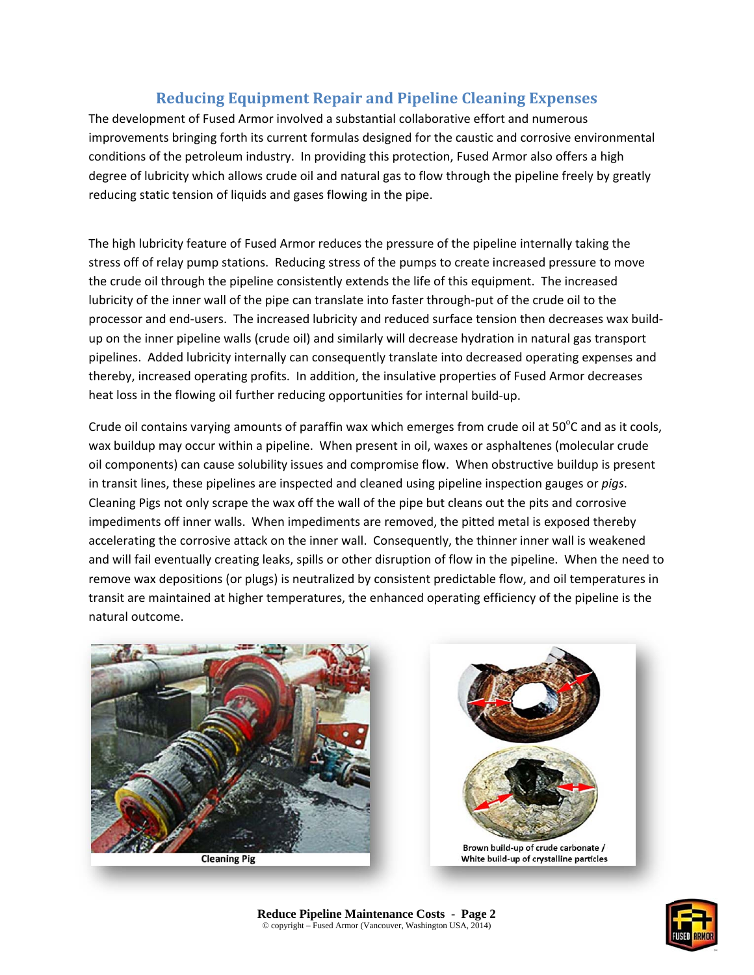## **Reducing Equipment Repair and Pipeline Cleaning Expenses**

The development of Fused Armor involved a substantial collaborative effort and numerous improvements bringing forth its current formulas designed for the caustic and corrosive environmental conditions of the petroleum industry. In providing this protection, Fused Armor also offers a high degree of lubricity which allows crude oil and natural gas to flow through the pipeline freely by greatly reducing static tension of liquids and gases flowing in the pipe.

The high lubricity feature of Fused Armor reduces the pressure of the pipeline internally taking the stress off of relay pump stations. Reducing stress of the pumps to create increased pressure to move the crude oil through the pipeline consistently extends the life of this equipment. The increased lubricity of the inner wall of the pipe can translate into faster through‐put of the crude oil to the processor and end‐users. The increased lubricity and reduced surface tension then decreases wax build‐ up on the inner pipeline walls (crude oil) and similarly will decrease hydration in natural gas transport pipelines. Added lubricity internally can consequently translate into decreased operating expenses and thereby, increased operating profits. In addition, the insulative properties of Fused Armor decreases heat loss in the flowing oil further reducing opportunities for internal build-up.

Crude oil contains varying amounts of paraffin wax which emerges from crude oil at 50 $^{\circ}$ C and as it cools, wax buildup may occur within a pipeline. When present in oil, waxes or asphaltenes (molecular crude oil components) can cause solubility issues and compromise flow. When obstructive buildup is present in transit lines, these pipelines are inspected and cleaned using pipeline inspection gauges or *pigs*. Cleaning Pigs not only scrape the wax off the wall of the pipe but cleans out the pits and corrosive impediments off inner walls. When impediments are removed, the pitted metal is exposed thereby accelerating the corrosive attack on the inner wall. Consequently, the thinner inner wall is weakened and will fail eventually creating leaks, spills or other disruption of flow in the pipeline. When the need to remove wax depositions (or plugs) is neutralized by consistent predictable flow, and oil temperatures in transit are maintained at higher temperatures, the enhanced operating efficiency of the pipeline is the natural outcome.



**Cleaning Pig** 



Brown build-up of crude carbonate / White build-up of crystalline particles

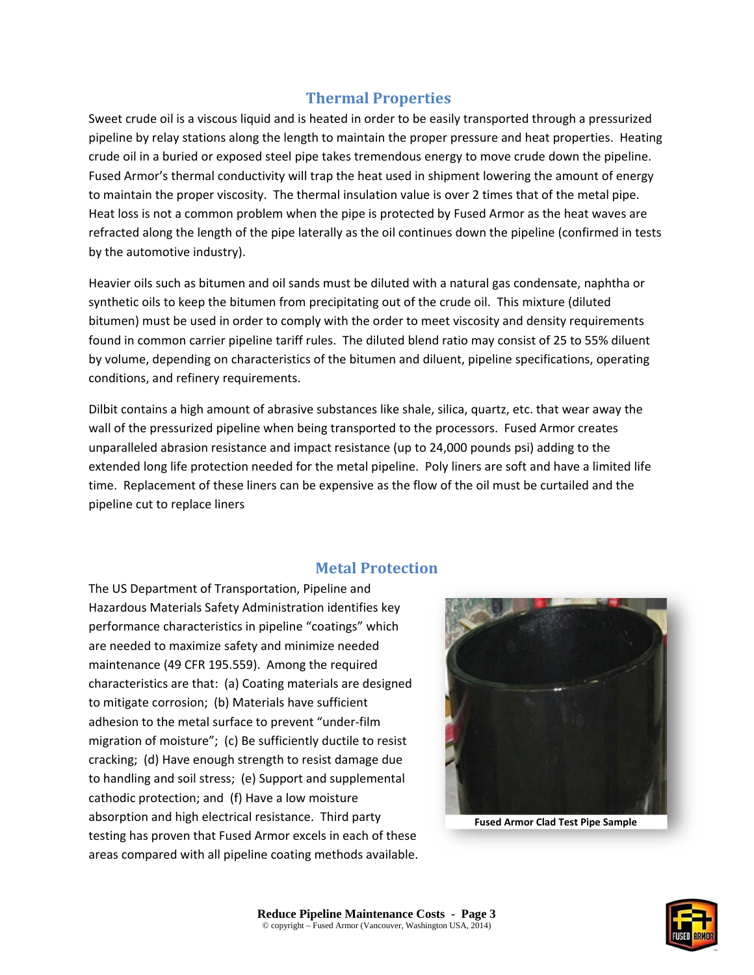### **Thermal Properties**

Sweet crude oil is a viscous liquid and is heated in order to be easily transported through a pressurized pipeline by relay stations along the length to maintain the proper pressure and heat properties. Heating crude oil in a buried or exposed steel pipe takes tremendous energy to move crude down the pipeline. Fused Armor's thermal conductivity will trap the heat used in shipment lowering the amount of energy to maintain the proper viscosity. The thermal insulation value is over 2 times that of the metal pipe. Heat loss is not a common problem when the pipe is protected by Fused Armor as the heat waves are refracted along the length of the pipe laterally as the oil continues down the pipeline (confirmed in tests by the automotive industry).

Heavier oils such as bitumen and oil sands must be diluted with a natural gas condensate, naphtha or synthetic oils to keep the bitumen from precipitating out of the crude oil. This mixture (diluted bitumen) must be used in order to comply with the order to meet viscosity and density requirements found in common carrier pipeline tariff rules. The diluted blend ratio may consist of 25 to 55% diluent by volume, depending on characteristics of the bitumen and diluent, pipeline specifications, operating conditions, and refinery requirements.

Dilbit contains a high amount of abrasive substances like shale, silica, quartz, etc. that wear away the wall of the pressurized pipeline when being transported to the processors. Fused Armor creates unparalleled abrasion resistance and impact resistance (up to 24,000 pounds psi) adding to the extended long life protection needed for the metal pipeline. Poly liners are soft and have a limited life time. Replacement of these liners can be expensive as the flow of the oil must be curtailed and the pipeline cut to replace liners

### **Metal Protection**

The US Department of Transportation, Pipeline and Hazardous Materials Safety Administration identifies key performance characteristics in pipeline "coatings" which are needed to maximize safety and minimize needed maintenance (49 CFR 195.559). Among the required characteristics are that: (a) Coating materials are designed to mitigate corrosion; (b) Materials have sufficient adhesion to the metal surface to prevent "under‐film migration of moisture"; (c) Be sufficiently ductile to resist cracking; (d) Have enough strength to resist damage due to handling and soil stress; (e) Support and supplemental cathodic protection; and (f) Have a low moisture absorption and high electrical resistance. Third party testing has proven that Fused Armor excels in each of these areas compared with all pipeline coating methods available.



**Fused Armor Clad Test Pipe Sample**

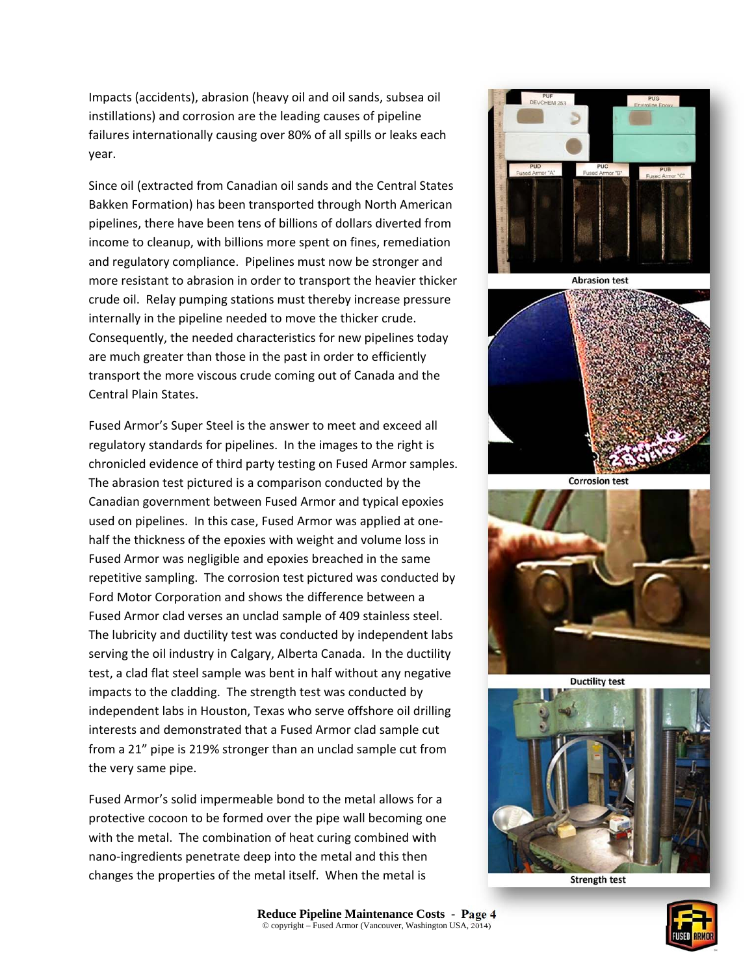Impacts (accidents), abrasion (heavy oil and oil sands, subsea oil instillations) and corrosion are the leading causes of pipeline failures internationally causing over 80% of all spills or leaks each year.

Since oil (extracted from Canadian oil sands and the Central States Bakken Formation) has been transported through North American pipelines, there have been tens of billions of dollars diverted from income to cleanup, with billions more spent on fines, remediation and regulatory compliance. Pipelines must now be stronger and more resistant to abrasion in order to transport the heavier thicker crude oil. Relay pumping stations must thereby increase pressure internally in the pipeline needed to move the thicker crude. Consequently, the needed characteristics for new pipelines today are much greater than those in the past in order to efficiently transport the more viscous crude coming out of Canada and the Central Plain States.

Fused Armor's Super Steel is the answer to meet and exceed all regulatory standards for pipelines. In the images to the right is chronicled evidence of third party testing on Fused Armor samples. The abrasion test pictured is a comparison conducted by the Canadian government between Fused Armor and typical epoxies used on pipelines. In this case, Fused Armor was applied at one‐ half the thickness of the epoxies with weight and volume loss in Fused Armor was negligible and epoxies breached in the same repetitive sampling. The corrosion test pictured was conducted by Ford Motor Corporation and shows the difference between a Fused Armor clad verses an unclad sample of 409 stainless steel. The lubricity and ductility test was conducted by independent labs serving the oil industry in Calgary, Alberta Canada. In the ductility test, a clad flat steel sample was bent in half without any negative impacts to the cladding. The strength test was conducted by independent labs in Houston, Texas who serve offshore oil drilling interests and demonstrated that a Fused Armor clad sample cut from a 21" pipe is 219% stronger than an unclad sample cut from the very same pipe.

Fused Armor's solid impermeable bond to the metal allows for a protective cocoon to be formed over the pipe wall becoming one with the metal. The combination of heat curing combined with nano‐ingredients penetrate deep into the metal and this then changes the properties of the metal itself. When the metal is





**Strength test**